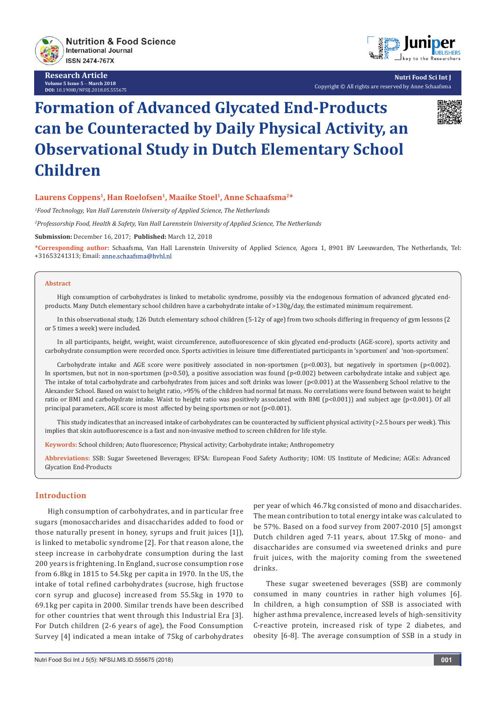

**Research Article Volume 5 Issue 5** - **March 2018 DOI:** [10.19080/NFSIJ.2018.05.555675](http://dx.doi.org/10.19080/NFSIJ.2018.05.555675)



**Nutri Food Sci Int J** Copyright © All rights are reserved by Anne Schaafsma

# **Formation of Advanced Glycated End-Products can be Counteracted by Daily Physical Activity, an Observational Study in Dutch Elementary School Children**



*1 Food Technology, Van Hall Larenstein University of Applied Science, The Netherlands*

*2 Professorship Food, Health & Safety, Van Hall Larenstein University of Applied Science, The Netherlands*

**Submission:** December 16, 2017; **Published:** March 12, 2018

**\*Corresponding author:** Schaafsma, Van Hall Larenstein University of Applied Science, Agora 1, 8901 BV Leeuwarden, The Netherlands, Tel: +31653241313; Email:

#### **Abstract**

High consumption of carbohydrates is linked to metabolic syndrome, possibly via the endogenous formation of advanced glycated endproducts. Many Dutch elementary school children have a carbohydrate intake of >130g/day, the estimated minimum requirement.

In this observational study, 126 Dutch elementary school children (5-12y of age) from two schools differing in frequency of gym lessons (2 or 5 times a week) were included.

In all participants, height, weight, waist circumference, autofluorescence of skin glycated end-products (AGE-score), sports activity and carbohydrate consumption were recorded once. Sports activities in leisure time differentiated participants in 'sportsmen' and 'non-sportsmen'.

Carbohydrate intake and AGE score were positively associated in non-sportsmen (p<0.003), but negatively in sportsmen (p<0.002). In sportsmen, but not in non-sportsmen (p>0.50), a positive association was found (p<0.002) between carbohydrate intake and subject age. The intake of total carbohydrate and carbohydrates from juices and soft drinks was lower  $(p<0.001)$  at the Wassenberg School relative to the Alexander School. Based on waist to height ratio, >95% of the children had normal fat mass. No correlations were found between waist to height ratio or BMI and carbohydrate intake. Waist to height ratio was positively associated with BMI (p<0.001)) and subject age (p<0.001). Of all principal parameters, AGE score is most affected by being sportsmen or not (p<0.001).

This study indicates that an increased intake of carbohydrates can be counteracted by sufficient physical activity (>2.5 hours per week). This implies that skin autofluorescence is a fast and non-invasive method to screen children for life style.

**Keywords:** School children; Auto fluorescence; Physical activity; Carbohydrate intake; Anthropometry

**Abbreviations:** SSB: Sugar Sweetened Beverages; EFSA: European Food Safety Authority; IOM: US Institute of Medicine; AGEs: Advanced Glycation End-Products

# **Introduction**

High consumption of carbohydrates, and in particular free sugars (monosaccharides and disaccharides added to food or those naturally present in honey, syrups and fruit juices [1]), is linked to metabolic syndrome [2]. For that reason alone, the steep increase in carbohydrate consumption during the last 200 years is frightening. In England, sucrose consumption rose from 6.8kg in 1815 to 54.5kg per capita in 1970. In the US, the intake of total refined carbohydrates (sucrose, high fructose corn syrup and glucose) increased from 55.5kg in 1970 to 69.1kg per capita in 2000. Similar trends have been described for other countries that went through this Industrial Era [3]. For Dutch children (2-6 years of age), the Food Consumption Survey [4] indicated a mean intake of 75kg of carbohydrates

per year of which 46.7kg consisted of mono and disaccharides. The mean contribution to total energy intake was calculated to be 57%. Based on a food survey from 2007-2010 [5] amongst Dutch children aged 7-11 years, about 17.5kg of mono- and disaccharides are consumed via sweetened drinks and pure fruit juices, with the majority coming from the sweetened drinks.

These sugar sweetened beverages (SSB) are commonly consumed in many countries in rather high volumes [6]. In children, a high consumption of SSB is associated with higher asthma prevalence, increased levels of high-sensitivity C-reactive protein, increased risk of type 2 diabetes, and obesity [6-8]. The average consumption of SSB in a study in

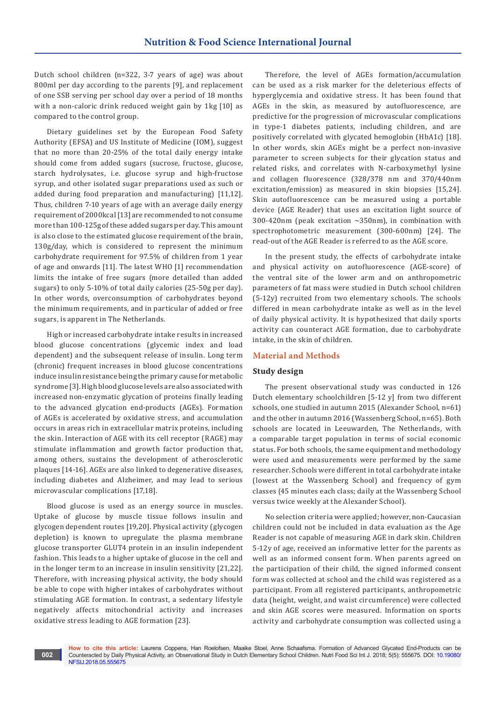Dutch school children (n=322, 3-7 years of age) was about 800ml per day according to the parents [9], and replacement of one SSB serving per school day over a period of 18 months with a non-caloric drink reduced weight gain by 1kg [10] as compared to the control group.

Dietary guidelines set by the European Food Safety Authority (EFSA) and US Institute of Medicine (IOM), suggest that no more than 20-25% of the total daily energy intake should come from added sugars (sucrose, fructose, glucose, starch hydrolysates, i.e. glucose syrup and high-fructose syrup, and other isolated sugar preparations used as such or added during food preparation and manufacturing) [11,12]. Thus, children 7-10 years of age with an average daily energy requirement of 2000kcal [13] are recommended to not consume more than 100-125g of these added sugars per day. This amount is also close to the estimated glucose requirement of the brain, 130g/day, which is considered to represent the minimum carbohydrate requirement for 97.5% of children from 1 year of age and onwards [11]. The latest WHO [1] recommendation limits the intake of free sugars (more detailed than added sugars) to only 5-10% of total daily calories (25-50g per day). In other words, overconsumption of carbohydrates beyond the minimum requirements, and in particular of added or free sugars, is apparent in The Netherlands.

High or increased carbohydrate intake results in increased blood glucose concentrations (glycemic index and load dependent) and the subsequent release of insulin. Long term (chronic) frequent increases in blood glucose concentrations induce insulin resistance being the primary cause for metabolic syndrome [3]. High blood glucose levels are also associated with increased non-enzymatic glycation of proteins finally leading to the advanced glycation end-products (AGEs). Formation of AGEs is accelerated by oxidative stress, and accumulation occurs in areas rich in extracellular matrix proteins, including the skin. Interaction of AGE with its cell receptor (RAGE) may stimulate inflammation and growth factor production that, among others, sustains the development of atherosclerotic plaques [14-16]. AGEs are also linked to degenerative diseases, including diabetes and Alzheimer, and may lead to serious microvascular complications [17,18].

Blood glucose is used as an energy source in muscles. Uptake of glucose by muscle tissue follows insulin and glycogen dependent routes [19,20]. Physical activity (glycogen depletion) is known to upregulate the plasma membrane glucose transporter GLUT4 protein in an insulin independent fashion. This leads to a higher uptake of glucose in the cell and in the longer term to an increase in insulin sensitivity [21,22]. Therefore, with increasing physical activity, the body should be able to cope with higher intakes of carbohydrates without stimulating AGE formation. In contrast, a sedentary lifestyle negatively affects mitochondrial activity and increases oxidative stress leading to AGE formation [23].

**002**

Therefore, the level of AGEs formation/accumulation can be used as a risk marker for the deleterious effects of hyperglycemia and oxidative stress. It has been found that AGEs in the skin, as measured by autofluorescence, are predictive for the progression of microvascular complications in type-1 diabetes patients, including children, and are positively correlated with glycated hemoglobin (HbA1c) [18]. In other words, skin AGEs might be a perfect non-invasive parameter to screen subjects for their glycation status and related risks, and correlates with N-carboxymethyl lysine and collagen fluorescence (328/378 nm and 370/440nm excitation/emission) as measured in skin biopsies [15,24]. Skin autofluorescence can be measured using a portable device (AGE Reader) that uses an excitation light source of 300-420nm (peak excitation ~350nm), in combination with spectrophotometric measurement (300-600nm) [24]. The read-out of the AGE Reader is referred to as the AGE score.

In the present study, the effects of carbohydrate intake and physical activity on autofluorescence (AGE-score) of the ventral site of the lower arm and on anthropometric parameters of fat mass were studied in Dutch school children (5-12y) recruited from two elementary schools. The schools differed in mean carbohydrate intake as well as in the level of daily physical activity. It is hypothesized that daily sports activity can counteract AGE formation, due to carbohydrate intake, in the skin of children.

#### **Material and Methods**

#### **Study design**

The present observational study was conducted in 126 Dutch elementary schoolchildren [5-12 y] from two different schools, one studied in autumn 2015 (Alexander School, n=61) and the other in autumn 2016 (Wassenberg School, n=65). Both schools are located in Leeuwarden, The Netherlands, with a comparable target population in terms of social economic status. For both schools, the same equipment and methodology were used and measurements were performed by the same researcher. Schools were different in total carbohydrate intake (lowest at the Wassenberg School) and frequency of gym classes (45 minutes each class; daily at the Wassenberg School versus twice weekly at the Alexander School).

No selection criteria were applied; however, non-Caucasian children could not be included in data evaluation as the Age Reader is not capable of measuring AGE in dark skin. Children 5-12y of age, received an informative letter for the parents as well as an informed consent form. When parents agreed on the participation of their child, the signed informed consent form was collected at school and the child was registered as a participant. From all registered participants, anthropometric data (height, weight, and waist circumference) were collected and skin AGE scores were measured. Information on sports activity and carbohydrate consumption was collected using a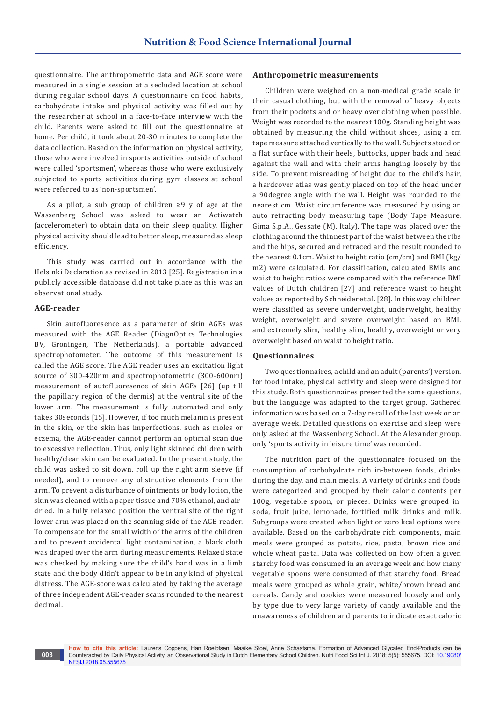questionnaire. The anthropometric data and AGE score were measured in a single session at a secluded location at school during regular school days. A questionnaire on food habits, carbohydrate intake and physical activity was filled out by the researcher at school in a face-to-face interview with the child. Parents were asked to fill out the questionnaire at home. Per child, it took about 20-30 minutes to complete the data collection. Based on the information on physical activity, those who were involved in sports activities outside of school were called 'sportsmen', whereas those who were exclusively subjected to sports activities during gym classes at school were referred to as 'non-sportsmen'.

As a pilot, a sub group of children ≥9 y of age at the Wassenberg School was asked to wear an Actiwatch (accelerometer) to obtain data on their sleep quality. Higher physical activity should lead to better sleep, measured as sleep efficiency.

This study was carried out in accordance with the Helsinki Declaration as revised in 2013 [25]. Registration in a publicly accessible database did not take place as this was an observational study.

#### **AGE-reader**

**003**

Skin autofluoresence as a parameter of skin AGEs was measured with the AGE Reader (DiagnOptics Technologies BV, Groningen, The Netherlands), a portable advanced spectrophotometer. The outcome of this measurement is called the AGE score. The AGE reader uses an excitation light source of 300-420nm and spectrophotometric (300-600nm) measurement of autofluoresence of skin AGEs [26] (up till the papillary region of the dermis) at the ventral site of the lower arm. The measurement is fully automated and only takes 30seconds [15]. However, if too much melanin is present in the skin, or the skin has imperfections, such as moles or eczema, the AGE-reader cannot perform an optimal scan due to excessive reflection. Thus, only light skinned children with healthy/clear skin can be evaluated. In the present study, the child was asked to sit down, roll up the right arm sleeve (if needed), and to remove any obstructive elements from the arm. To prevent a disturbance of ointments or body lotion, the skin was cleaned with a paper tissue and 70% ethanol, and airdried. In a fully relaxed position the ventral site of the right lower arm was placed on the scanning side of the AGE-reader. To compensate for the small width of the arms of the children and to prevent accidental light contamination, a black cloth was draped over the arm during measurements. Relaxed state was checked by making sure the child's hand was in a limb state and the body didn't appear to be in any kind of physical distress. The AGE-score was calculated by taking the average of three independent AGE-reader scans rounded to the nearest decimal.

#### **Anthropometric measurements**

Children were weighed on a non-medical grade scale in their casual clothing, but with the removal of heavy objects from their pockets and or heavy over clothing when possible. Weight was recorded to the nearest 100g. Standing height was obtained by measuring the child without shoes, using a cm tape measure attached vertically to the wall. Subjects stood on a flat surface with their heels, buttocks, upper back and head against the wall and with their arms hanging loosely by the side. To prevent misreading of height due to the child's hair, a hardcover atlas was gently placed on top of the head under a 90degree angle with the wall. Height was rounded to the nearest cm. Waist circumference was measured by using an auto retracting body measuring tape (Body Tape Measure, Gima S.p.A., Gessate (M), Italy). The tape was placed over the clothing around the thinnest part of the waist between the ribs and the hips, secured and retraced and the result rounded to the nearest 0.1cm. Waist to height ratio (cm/cm) and BMI (kg/ m2) were calculated. For classification, calculated BMIs and waist to height ratios were compared with the reference BMI values of Dutch children [27] and reference waist to height values as reported by Schneider et al. [28]. In this way, children were classified as severe underweight, underweight, healthy weight, overweight and severe overweight based on BMI, and extremely slim, healthy slim, healthy, overweight or very overweight based on waist to height ratio.

#### **Questionnaires**

Two questionnaires, a child and an adult (parents') version, for food intake, physical activity and sleep were designed for this study. Both questionnaires presented the same questions, but the language was adapted to the target group. Gathered information was based on a 7-day recall of the last week or an average week. Detailed questions on exercise and sleep were only asked at the Wassenberg School. At the Alexander group, only 'sports activity in leisure time' was recorded.

The nutrition part of the questionnaire focused on the consumption of carbohydrate rich in-between foods, drinks during the day, and main meals. A variety of drinks and foods were categorized and grouped by their caloric contents per 100g, vegetable spoon, or pieces. Drinks were grouped in: soda, fruit juice, lemonade, fortified milk drinks and milk. Subgroups were created when light or zero kcal options were available. Based on the carbohydrate rich components, main meals were grouped as potato, rice, pasta, brown rice and whole wheat pasta. Data was collected on how often a given starchy food was consumed in an average week and how many vegetable spoons were consumed of that starchy food. Bread meals were grouped as whole grain, white/brown bread and cereals. Candy and cookies were measured loosely and only by type due to very large variety of candy available and the unawareness of children and parents to indicate exact caloric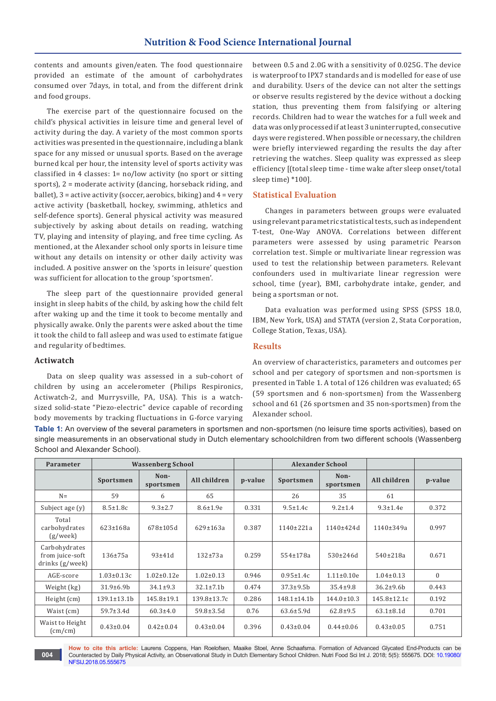contents and amounts given/eaten. The food questionnaire provided an estimate of the amount of carbohydrates consumed over 7days, in total, and from the different drink and food groups.

The exercise part of the questionnaire focused on the child's physical activities in leisure time and general level of activity during the day. A variety of the most common sports activities was presented in the questionnaire, including a blank space for any missed or unusual sports. Based on the average burned kcal per hour, the intensity level of sports activity was classified in 4 classes: 1= no/low activity (no sport or sitting sports), 2 = moderate activity (dancing, horseback riding, and ballet), 3 = active activity (soccer, aerobics, biking) and 4 = very active activity (basketball, hockey, swimming, athletics and self-defence sports). General physical activity was measured subjectively by asking about details on reading, watching TV, playing and intensity of playing, and free time cycling. As mentioned, at the Alexander school only sports in leisure time without any details on intensity or other daily activity was included. A positive answer on the 'sports in leisure' question was sufficient for allocation to the group 'sportsmen'.

The sleep part of the questionnaire provided general insight in sleep habits of the child, by asking how the child felt after waking up and the time it took to become mentally and physically awake. Only the parents were asked about the time it took the child to fall asleep and was used to estimate fatigue and regularity of bedtimes.

between 0.5 and 2.0G with a sensitivity of 0.025G. The device is waterproof to IPX7 standards and is modelled for ease of use and durability. Users of the device can not alter the settings or observe results registered by the device without a docking station, thus preventing them from falsifying or altering records. Children had to wear the watches for a full week and data was only processed if at least 3 uninterrupted, consecutive days were registered. When possible or necessary, the children were briefly interviewed regarding the results the day after retrieving the watches. Sleep quality was expressed as sleep efficiency [(total sleep time - time wake after sleep onset/total sleep time) \*100].

#### **Statistical Evaluation**

Changes in parameters between groups were evaluated using relevant parametric statistical tests, such as independent T-test, One-Way ANOVA. Correlations between different parameters were assessed by using parametric Pearson correlation test. Simple or multivariate linear regression was used to test the relationship between parameters. Relevant confounders used in multivariate linear regression were school, time (year), BMI, carbohydrate intake, gender, and being a sportsman or not.

Data evaluation was performed using SPSS (SPSS 18.0, IBM, New York, USA) and STATA (version 2, Stata Corporation, College Station, Texas, USA).

# **Results**

#### **Actiwatch**

**004**

Data on sleep quality was assessed in a sub-cohort of children by using an accelerometer (Philips Respironics, Actiwatch-2, and Murrysville, PA, USA). This is a watchsized solid-state "Piezo-electric" device capable of recording body movements by tracking fluctuations in G-force varying An overview of characteristics, parameters and outcomes per school and per category of sportsmen and non-sportsmen is presented in Table 1. A total of 126 children was evaluated; 65 (59 sportsmen and 6 non-sportsmen) from the Wassenberg school and 61 (26 sportsmen and 35 non-sportsmen) from the Alexander school.

**Table 1:** An overview of the several parameters in sportsmen and non-sportsmen (no leisure time sports activities), based on single measurements in an observational study in Dutch elementary schoolchildren from two different schools (Wassenberg School and Alexander School).

| Parameter                                           | <b>Wassenberg School</b> |                   |                  |         |                    | <b>Alexander School</b> |                  |              |
|-----------------------------------------------------|--------------------------|-------------------|------------------|---------|--------------------|-------------------------|------------------|--------------|
|                                                     | Sportsmen                | Non-<br>sportsmen | All children     | p-value | Sportsmen          | Non-<br>sportsmen       | All children     | p-value      |
| $N =$                                               | 59                       | 6                 | 65               |         | 26                 | 35                      | 61               |              |
| Subject age (y)                                     | $8.5 \pm 1.8c$           | $9.3 \pm 2.7$     | $8.6 \pm 1.9e$   | 0.331   | $9.5 \pm 1.4c$     | $9.2 \pm 1.4$           | $9.3 \pm 1.4e$   | 0.372        |
| Total<br>carbohydrates<br>(g/week)                  | $623 \pm 168a$           | $678 \pm 105d$    | $629 \pm 163a$   | 0.387   | $1140 \pm 221a$    | $1140+424d$             | $1140 \pm 349a$  | 0.997        |
| Carbohydrates<br>from juice-soft<br>drinks (g/week) | $136 + 75a$              | $93 + 41d$        | $132 + 73a$      | 0.259   | $554 \pm 178a$     | 530±246d                | 540±218a         | 0.671        |
| AGE-score                                           | $1.03 \pm 0.13c$         | $1.02 \pm 0.12e$  | $1.02 \pm 0.13$  | 0.946   | $0.95 \pm 1.4c$    | $1.11 \pm 0.10e$        | $1.04 \pm 0.13$  | $\mathbf{0}$ |
| Weight (kg)                                         | $31.9 \pm 6.9 b$         | $34.1 \pm 9.3$    | $32.1 \pm 7.1 b$ | 0.474   | $37.3 \pm 9.5$ b   | $35.4 \pm 9.8$          | $36.2 \pm 9.6 b$ | 0.443        |
| Height (cm)                                         | $139.1 \pm 13.1$         | $145.8 \pm 19.1$  | 139.8±13.7c      | 0.286   | $148.1 \pm 14.1$ b | $144.0 \pm 10.3$        | 145.8±12.1c      | 0.192        |
| Waist (cm)                                          | $59.7 \pm 3.4$ d         | $60.3 \pm 4.0$    | $59.8 \pm 3.5$ d | 0.76    | $63.6 \pm 5.9d$    | $62.8 \pm 9.5$          | $63.1 \pm 8.1$ d | 0.701        |
| Waist to Height<br>(cm/cm)                          | $0.43 \pm 0.04$          | $0.42 \pm 0.04$   | $0.43 \pm 0.04$  | 0.396   | $0.43 \pm 0.04$    | $0.44 \pm 0.06$         | $0.43 \pm 0.05$  | 0.751        |

**How to cite this article:** Laurens Coppens, Han Roelofsen, Maaike Stoel, Anne Schaafsma. Formation of Advanced Glycated End-Products can be Counteracted by Daily Physical Activity, an Observational Study in Dutch Elementary School Children. Nutri Food Sci Int J. 2018; 5(5): 555675. DOI: [10.19080/](http://dx.doi.org/10.19080/NFSIJ.2018.05.555675) [NFSIJ.2018.05.555675](http://dx.doi.org/10.19080/NFSIJ.2018.05.555675)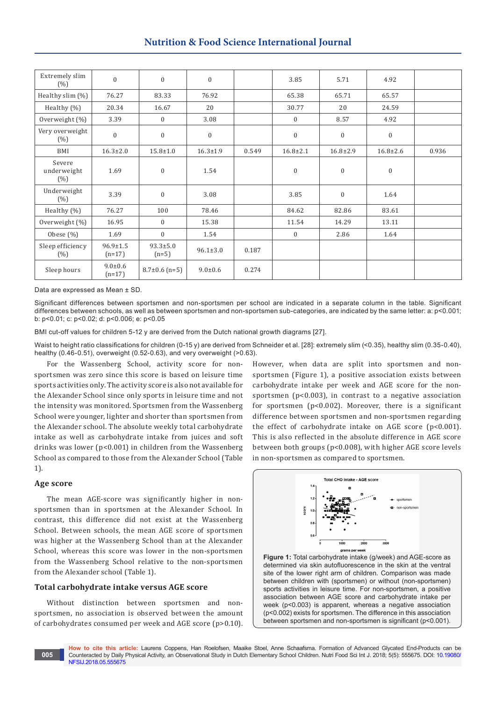# **Nutrition & Food Science International Journal**

| Extremely slim<br>(%)        | $\overline{0}$             | $\mathbf{0}$              | $\mathbf{0}$   |       | 3.85           | 5.71           | 4.92           |       |
|------------------------------|----------------------------|---------------------------|----------------|-------|----------------|----------------|----------------|-------|
| Healthy slim (%)             | 76.27                      | 83.33                     | 76.92          |       | 65.38          | 65.71          | 65.57          |       |
| Healthy $(\% )$              | 20.34                      | 16.67                     | 20             |       | 30.77          | 20             | 24.59          |       |
| Overweight (%)               | 3.39                       | $\mathbf{0}$              | 3.08           |       | $\mathbf{0}$   | 8.57           | 4.92           |       |
| Very overweight<br>(%)       | $\boldsymbol{0}$           | $\boldsymbol{0}$          | $\mathbf{0}$   |       | $\mathbf{0}$   | $\mathbf{0}$   | $\mathbf{0}$   |       |
| BMI                          | $16.3 \pm 2.0$             | $15.8 \pm 1.0$            | $16.3 \pm 1.9$ | 0.549 | $16.8 \pm 2.1$ | $16.8 \pm 2.9$ | $16.8 \pm 2.6$ | 0.936 |
| Severe<br>underweight<br>(%) | 1.69                       | $\mathbf{0}$              | 1.54           |       | $\mathbf{0}$   | $\mathbf{0}$   | $\mathbf{0}$   |       |
| Underweight<br>(%)           | 3.39                       | $\boldsymbol{0}$          | 3.08           |       | 3.85           | $\mathbf{0}$   | 1.64           |       |
| Healthy $(\%)$               | 76.27                      | 100                       | 78.46          |       | 84.62          | 82.86          | 83.61          |       |
| Overweight (%)               | 16.95                      | $\mathbf{0}$              | 15.38          |       | 11.54          | 14.29          | 13.11          |       |
| Obese $(\%)$                 | 1.69                       | $\mathbf{0}$              | 1.54           |       | $\mathbf{0}$   | 2.86           | 1.64           |       |
| Sleep efficiency<br>(%)      | $96.9 \pm 1.5$<br>$(n=17)$ | $93.3 \pm 5.0$<br>$(n=5)$ | $96.1 \pm 3.0$ | 0.187 |                |                |                |       |
| Sleep hours                  | $9.0 \pm 0.6$<br>$(n=17)$  | $8.7\pm0.6$ (n=5)         | $9.0 \pm 0.6$  | 0.274 |                |                |                |       |

Data are expressed as Mean ± SD.

Significant differences between sportsmen and non-sportsmen per school are indicated in a separate column in the table. Significant differences between schools, as well as between sportsmen and non-sportsmen sub-categories, are indicated by the same letter: a: p<0.001; b: p<0.01; c: p<0.02; d: p<0.006; e: p<0.05

BMI cut-off values for children 5-12 y are derived from the Dutch national growth diagrams [27].

Waist to height ratio classifications for children (0-15 y) are derived from Schneider et al. [28]: extremely slim (<0.35), healthy slim (0.35-0.40), healthy (0.46-0.51), overweight (0.52-0.63), and very overweight (>0.63).

For the Wassenberg School, activity score for nonsportsmen was zero since this score is based on leisure time sports activities only. The activity score is also not available for the Alexander School since only sports in leisure time and not the intensity was monitored. Sportsmen from the Wassenberg School were younger, lighter and shorter than sportsmen from the Alexander school. The absolute weekly total carbohydrate intake as well as carbohydrate intake from juices and soft drinks was lower (p<0.001) in children from the Wassenberg School as compared to those from the Alexander School (Table 1).

#### **Age score**

**005**

The mean AGE-score was significantly higher in nonsportsmen than in sportsmen at the Alexander School. In contrast, this difference did not exist at the Wassenberg School. Between schools, the mean AGE score of sportsmen was higher at the Wassenberg School than at the Alexander School, whereas this score was lower in the non-sportsmen from the Wassenberg School relative to the non-sportsmen from the Alexander school (Table 1).

## **Total carbohydrate intake versus AGE score**

Without distinction between sportsmen and nonsportsmen, no association is observed between the amount of carbohydrates consumed per week and AGE score (p>0.10). However, when data are split into sportsmen and nonsportsmen (Figure 1), a positive association exists between carbohydrate intake per week and AGE score for the nonsportsmen (p<0.003), in contrast to a negative association for sportsmen (p<0.002). Moreover, there is a significant difference between sportsmen and non-sportsmen regarding the effect of carbohydrate intake on AGE score (p<0.001). This is also reflected in the absolute difference in AGE score between both groups (p<0.008), with higher AGE score levels in non-sportsmen as compared to sportsmen.



**Figure 1:** Total carbohydrate intake (g/week) and AGE-score as determined via skin autofluorescence in the skin at the ventral site of the lower right arm of children. Comparison was made between children with (sportsmen) or without (non-sportsmen) sports activities in leisure time. For non-sportsmen, a positive association between AGE score and carbohydrate intake per week (p<0.003) is apparent, whereas a negative association (p<0.002) exists for sportsmen. The difference in this association between sportsmen and non-sportsmen is significant (p<0.001).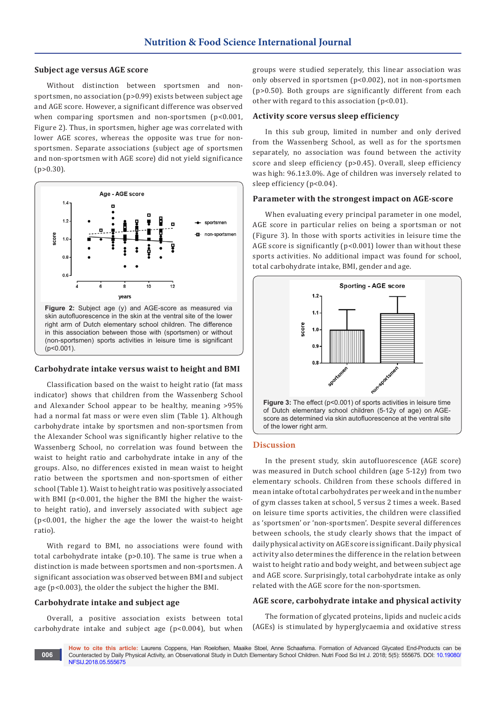#### **Subject age versus AGE score**

Without distinction between sportsmen and nonsportsmen, no association (p>0.99) exists between subject age and AGE score. However, a significant difference was observed when comparing sportsmen and non-sportsmen (p<0.001, Figure 2). Thus, in sportsmen, higher age was correlated with lower AGE scores, whereas the opposite was true for nonsportsmen. Separate associations (subject age of sportsmen and non-sportsmen with AGE score) did not yield significance  $(p>0.30)$ .



#### **Carbohydrate intake versus waist to height and BMI**

Classification based on the waist to height ratio (fat mass indicator) shows that children from the Wassenberg School and Alexander School appear to be healthy, meaning >95% had a normal fat mass or were even slim (Table 1). Although carbohydrate intake by sportsmen and non-sportsmen from the Alexander School was significantly higher relative to the Wassenberg School, no correlation was found between the waist to height ratio and carbohydrate intake in any of the groups. Also, no differences existed in mean waist to height ratio between the sportsmen and non-sportsmen of either school (Table 1). Waist to height ratio was positively associated with BMI (p<0.001, the higher the BMI the higher the waistto height ratio), and inversely associated with subject age (p<0.001, the higher the age the lower the waist-to height ratio).

With regard to BMI, no associations were found with total carbohydrate intake (p>0.10). The same is true when a distinction is made between sportsmen and non-sportsmen. A significant association was observed between BMI and subject age (p<0.003), the older the subject the higher the BMI.

#### **Carbohydrate intake and subject age**

Overall, a positive association exists between total carbohydrate intake and subject age (p<0.004), but when

groups were studied seperately, this linear association was only observed in sportsmen (p<0.002), not in non-sportsmen (p>0.50). Both groups are significantly different from each other with regard to this association  $(p<0.01)$ .

#### **Activity score versus sleep efficiency**

In this sub group, limited in number and only derived from the Wassenberg School, as well as for the sportsmen separately, no association was found between the activity score and sleep efficiency (p>0.45). Overall, sleep efficiency was high: 96.1±3.0%. Age of children was inversely related to sleep efficiency (p<0.04).

#### **Parameter with the strongest impact on AGE-score**

When evaluating every principal parameter in one model, AGE score in particular relies on being a sportsman or not (Figure 3). In those with sports activities in leisure time the AGE score is significantly (p<0.001) lower than without these sports activities. No additional impact was found for school, total carbohydrate intake, BMI, gender and age.



#### **Discussion**

In the present study, skin autofluorescence (AGE score) was measured in Dutch school children (age 5-12y) from two elementary schools. Children from these schools differed in mean intake of total carbohydrates per week and in the number of gym classes taken at school, 5 versus 2 times a week. Based on leisure time sports activities, the children were classified as 'sportsmen' or 'non-sportsmen'. Despite several differences between schools, the study clearly shows that the impact of daily physical activity on AGE score is significant. Daily physical activity also determines the difference in the relation between waist to height ratio and body weight, and between subject age and AGE score. Surprisingly, total carbohydrate intake as only related with the AGE score for the non-sportsmen.

#### **AGE score, carbohydrate intake and physical activity**

The formation of glycated proteins, lipids and nucleic acids (AGEs) is stimulated by hyperglycaemia and oxidative stress

**How to cite this article:** Laurens Coppens, Han Roelofsen, Maaike Stoel, Anne Schaafsma. Formation of Advanced Glycated End-Products can be Counteracted by Daily Physical Activity, an Observational Study in Dutch Elementary School Children. Nutri Food Sci Int J. 2018; 5(5): 555675. DOI: [10.19080/](http://dx.doi.org/10.19080/NFSIJ.2018.05.555675) [NFSIJ.2018.05.555675](http://dx.doi.org/10.19080/NFSIJ.2018.05.555675) **006**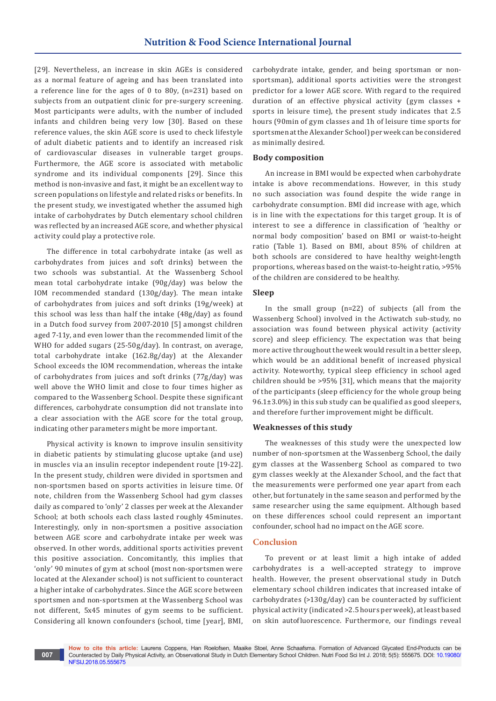[29]. Nevertheless, an increase in skin AGEs is considered as a normal feature of ageing and has been translated into a reference line for the ages of 0 to 80y, (n=231) based on subjects from an outpatient clinic for pre-surgery screening. Most participants were adults, with the number of included infants and children being very low [30]. Based on these reference values, the skin AGE score is used to check lifestyle of adult diabetic patients and to identify an increased risk of cardiovascular diseases in vulnerable target groups. Furthermore, the AGE score is associated with metabolic syndrome and its individual components [29]. Since this method is non-invasive and fast, it might be an excellent way to screen populations on lifestyle and related risks or benefits. In the present study, we investigated whether the assumed high intake of carbohydrates by Dutch elementary school children was reflected by an increased AGE score, and whether physical activity could play a protective role.

The difference in total carbohydrate intake (as well as carbohydrates from juices and soft drinks) between the two schools was substantial. At the Wassenberg School mean total carbohydrate intake (90g/day) was below the IOM recommended standard (130g/day). The mean intake of carbohydrates from juices and soft drinks (19g/week) at this school was less than half the intake (48g/day) as found in a Dutch food survey from 2007-2010 [5] amongst children aged 7-11y, and even lower than the recommended limit of the WHO for added sugars (25-50g/day). In contrast, on average, total carbohydrate intake (162.8g/day) at the Alexander School exceeds the IOM recommendation, whereas the intake of carbohydrates from juices and soft drinks (77g/day) was well above the WHO limit and close to four times higher as compared to the Wassenberg School. Despite these significant differences, carbohydrate consumption did not translate into a clear association with the AGE score for the total group, indicating other parameters might be more important.

Physical activity is known to improve insulin sensitivity in diabetic patients by stimulating glucose uptake (and use) in muscles via an insulin receptor independent route [19-22]. In the present study, children were divided in sportsmen and non-sportsmen based on sports activities in leisure time. Of note, children from the Wassenberg School had gym classes daily as compared to 'only' 2 classes per week at the Alexander School; at both schools each class lasted roughly 45minutes. Interestingly, only in non-sportsmen a positive association between AGE score and carbohydrate intake per week was observed. In other words, additional sports activities prevent this positive association. Concomitantly, this implies that 'only' 90 minutes of gym at school (most non-sportsmen were located at the Alexander school) is not sufficient to counteract a higher intake of carbohydrates. Since the AGE score between sportsmen and non-sportsmen at the Wassenberg School was not different, 5x45 minutes of gym seems to be sufficient. Considering all known confounders (school, time [year], BMI,

carbohydrate intake, gender, and being sportsman or nonsportsman), additional sports activities were the strongest predictor for a lower AGE score. With regard to the required duration of an effective physical activity (gym classes + sports in leisure time), the present study indicates that 2.5 hours (90min of gym classes and 1h of leisure time sports for sportsmen at the Alexander School) per week can be considered as minimally desired.

#### **Body composition**

An increase in BMI would be expected when carbohydrate intake is above recommendations. However, in this study no such association was found despite the wide range in carbohydrate consumption. BMI did increase with age, which is in line with the expectations for this target group. It is of interest to see a difference in classification of 'healthy or normal body composition' based on BMI or waist-to-height ratio (Table 1). Based on BMI, about 85% of children at both schools are considered to have healthy weight-length proportions, whereas based on the waist-to-height ratio, >95% of the children are considered to be healthy.

#### **Sleep**

In the small group (n=22) of subjects (all from the Wassenberg School) involved in the Actiwatch sub-study, no association was found between physical activity (activity score) and sleep efficiency. The expectation was that being more active throughout the week would result in a better sleep, which would be an additional benefit of increased physical activity. Noteworthy, typical sleep efficiency in school aged children should be >95% [31], which means that the majority of the participants (sleep efficiency for the whole group being 96.1±3.0%) in this sub study can be qualified as good sleepers, and therefore further improvement might be difficult.

#### **Weaknesses of this study**

The weaknesses of this study were the unexpected low number of non-sportsmen at the Wassenberg School, the daily gym classes at the Wassenberg School as compared to two gym classes weekly at the Alexander School, and the fact that the measurements were performed one year apart from each other, but fortunately in the same season and performed by the same researcher using the same equipment. Although based on these differences school could represent an important confounder, school had no impact on the AGE score.

#### **Conclusion**

To prevent or at least limit a high intake of added carbohydrates is a well-accepted strategy to improve health. However, the present observational study in Dutch elementary school children indicates that increased intake of carbohydrates (>130g/day) can be counteracted by sufficient physical activity (indicated >2.5 hours per week), at least based on skin autofluorescence. Furthermore, our findings reveal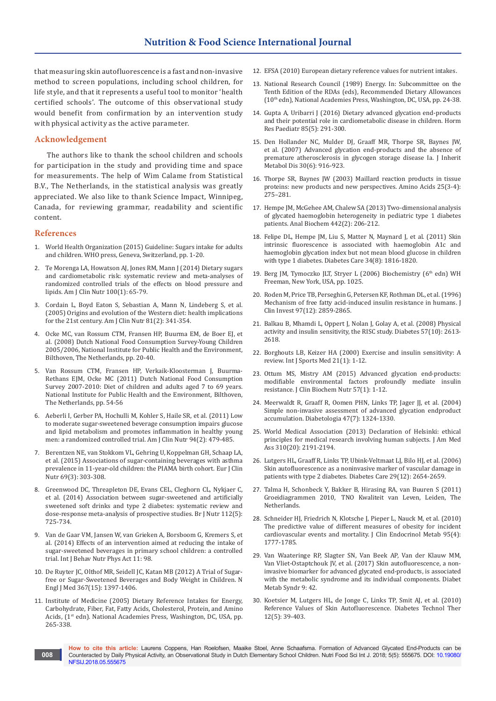that measuring skin autofluorescence is a fast and non-invasive method to screen populations, including school children, for life style, and that it represents a useful tool to monitor 'health certified schools'. The outcome of this observational study would benefit from confirmation by an intervention study with physical activity as the active parameter.

#### **Acknowledgement**

The authors like to thank the school children and schools for participation in the study and providing time and space for measurements. The help of Wim Calame from Statistical B.V., The Netherlands, in the statistical analysis was greatly appreciated. We also like to thank Science Impact, Winnipeg, Canada, for reviewing grammar, readability and scientific content.

#### **References**

- 1. World Health Organization (2015) Guideline: Sugars intake for adults and children. WHO press, Geneva, Switzerland, pp. 1-20.
- 2. [Te Morenga LA, Howatson AJ, Jones RM, Mann J \(2014\) Dietary sugars](https://www.ncbi.nlm.nih.gov/pubmed/24808490)  [and cardiometabolic risk: systematic review and meta-analyses of](https://www.ncbi.nlm.nih.gov/pubmed/24808490)  [randomized controlled trials of the effects on blood pressure and](https://www.ncbi.nlm.nih.gov/pubmed/24808490)  [lipids. Am J Clin Nutr 100\(1\): 65-79.](https://www.ncbi.nlm.nih.gov/pubmed/24808490)
- 3. [Cordain L, Boyd Eaton S, Sebastian A, Mann N, Lindeberg S, et al.](https://www.ncbi.nlm.nih.gov/pubmed/15699220)  [\(2005\) Origins and evolution of the Western diet: health implications](https://www.ncbi.nlm.nih.gov/pubmed/15699220)  [for the 21st century. Am J Clin Nutr 81\(2\): 341-354.](https://www.ncbi.nlm.nih.gov/pubmed/15699220)
- 4. Ocke MC, van Rossum CTM, Fransen HP, Buurma EM, de Boer EJ, et al. (2008) Dutch National Food Consumption Survey-Young Children 2005/2006, National Institute for Public Health and the Environment, Bilthoven, The Netherlands, pp. 20-40.
- 5. Van Rossum CTM, Fransen HP, Verkaik-Kloosterman J, Buurma-Rethans EJM, Ocke MC (2011) Dutch National Food Consumption Survey 2007-2010: Diet of children and adults aged 7 to 69 years. National Institute for Public Health and the Environment, Bilthoven, The Netherlands, pp. 54-56
- 6. [Aeberli I, Gerber PA, Hochulli M, Kohler S, Haile SR, et al. \(2011\) Low](https://www.ncbi.nlm.nih.gov/pubmed/21677052)  [to moderate sugar-sweetened beverage consumption impairs glucose](https://www.ncbi.nlm.nih.gov/pubmed/21677052)  [and lipid metabolism and promotes inflammation in healthy young](https://www.ncbi.nlm.nih.gov/pubmed/21677052)  [men: a randomized controlled trial. Am J Clin Nutr 94\(2\): 479-485.](https://www.ncbi.nlm.nih.gov/pubmed/21677052)
- 7. [Berentzen NE, van Stokkom VL, Gehring U, Koppelman GH, Schaap LA,](https://www.ncbi.nlm.nih.gov/pubmed/25117998)  [et al. \(2015\) Associations of sugar-containing beverages with asthma](https://www.ncbi.nlm.nih.gov/pubmed/25117998)  [prevalence in 11-year-old children: the PIAMA birth cohort. Eur J Clin](https://www.ncbi.nlm.nih.gov/pubmed/25117998)  [Nutr 69\(3\): 303-308.](https://www.ncbi.nlm.nih.gov/pubmed/25117998)
- 8. [Greenwood DC, Threapleton DE, Evans CEL, Cleghorn CL, Nykjaer C,](https://www.ncbi.nlm.nih.gov/pubmed/24932880)  [et al. \(2014\) Association between sugar-sweetened and artificially](https://www.ncbi.nlm.nih.gov/pubmed/24932880)  [sweetened soft drinks and type 2 diabetes: systematic review and](https://www.ncbi.nlm.nih.gov/pubmed/24932880)  [dose-response meta-analysis of prospective studies. Br J Nutr 112\(5\):](https://www.ncbi.nlm.nih.gov/pubmed/24932880)  [725-734.](https://www.ncbi.nlm.nih.gov/pubmed/24932880)
- 9. [Van de Gaar VM, Jansen W, van Grieken A, Borsboom G, Kremers S, et](https://ijbnpa.biomedcentral.com/articles/10.1186/s12966-014-0098-8)  [al. \(2014\) Effects of an intervention aimed at reducing the intake of](https://ijbnpa.biomedcentral.com/articles/10.1186/s12966-014-0098-8)  [sugar-sweetened beverages in primary school children: a controlled](https://ijbnpa.biomedcentral.com/articles/10.1186/s12966-014-0098-8)  [trial. Int J Behav Nutr Phys Act 11: 98.](https://ijbnpa.biomedcentral.com/articles/10.1186/s12966-014-0098-8)
- 10. [De Ruyter JC, Olthof MR, Seidell JC, Katan MB \(2012\) A Trial of Sugar](http://www.nejm.org/doi/full/10.1056/NEJMoa1203034)[free or Sugar-Sweetened Beverages and Body Weight in Children. N](http://www.nejm.org/doi/full/10.1056/NEJMoa1203034)  [Engl J Med 367\(15\): 1397-1406.](http://www.nejm.org/doi/full/10.1056/NEJMoa1203034)
- 11. Institute of Medicine (2005) Dietary Reference Intakes for Energy, Carbohydrate, Fiber, Fat, Fatty Acids, Cholesterol, Protein, and Amino Acids, (1<sup>st</sup> edn). National Academies Press, Washington, DC, USA, pp. 265-338.
- 12. [EFSA \(2010\) European dietary reference values for nutrient intakes.](http://www.efsa.europa.eu/en/press/news/nda100326)
- 13. National Research Council (1989) Energy. In: Subcommittee on the Tenth Edition of the RDAs (eds), Recommended Dietary Allowances (10th edn), National Academies Press, Washington, DC, USA, pp. 24-38.
- 14. [Gupta A, Uribarri J \(2016\) Dietary advanced glycation end-products](https://www.ncbi.nlm.nih.gov/pubmed/27008270)  [and their potential role in cardiometabolic disease in children. Horm](https://www.ncbi.nlm.nih.gov/pubmed/27008270)  [Res Paediatr 85\(5\): 291-300.](https://www.ncbi.nlm.nih.gov/pubmed/27008270)
- 15. [Den Hollander NC, Mulder DJ, Graaff MR, Thorpe SR, Baynes JW,](https://www.ncbi.nlm.nih.gov/pubmed/17570077)  [et al. \(2007\) Advanced glycation end-products and the absence of](https://www.ncbi.nlm.nih.gov/pubmed/17570077)  [premature atherosclerosis in glycogen storage disease Ia. J Inherit](https://www.ncbi.nlm.nih.gov/pubmed/17570077)  [Metabol Dis 30\(6\): 916-923.](https://www.ncbi.nlm.nih.gov/pubmed/17570077)
- 16. [Thorpe SR, Baynes JW \(2003\) Maillard reaction products in tissue](https://www.ncbi.nlm.nih.gov/pubmed/14661090)  [proteins: new products and new perspectives. Amino Acids 25\(3-4\):](https://www.ncbi.nlm.nih.gov/pubmed/14661090)  [275–281.](https://www.ncbi.nlm.nih.gov/pubmed/14661090)
- 17. [Hempe JM, McGehee AM, Chalew SA \(2013\) Two-dimensional analysis](https://www.ncbi.nlm.nih.gov/pubmed/23877007)  [of glycated haemoglobin heterogeneity in pediatric type 1 diabetes](https://www.ncbi.nlm.nih.gov/pubmed/23877007)  [patients. Anal Biochem 442\(2\): 206-212.](https://www.ncbi.nlm.nih.gov/pubmed/23877007)
- 18. [Felipe DL, Hempe JM, Liu S, Matter N, Maynard J, et al. \(2011\) Skin](https://www.ncbi.nlm.nih.gov/pubmed/21636794/)  [intrinsic fluorescence is associated with haemoglobin A1c and](https://www.ncbi.nlm.nih.gov/pubmed/21636794/)  [haemoglobin glycation index but not mean blood glucose in children](https://www.ncbi.nlm.nih.gov/pubmed/21636794/)  [with type 1 diabetes. Diabetes Care 34\(8\): 1816-1820.](https://www.ncbi.nlm.nih.gov/pubmed/21636794/)
- 19. Berg JM, Tymoczko JLT, Stryer L (2006) Biochemistry (6<sup>th</sup> edn) WH Freeman, New York, USA, pp. 1025.
- 20. [Roden M, Price TB, Perseghin G, Petersen KF, Rothman DL, et al. \(1996\)](https://www.ncbi.nlm.nih.gov/pubmed/8675698/)  [Mechanism of free fatty acid-induced insulin resistance in humans. J](https://www.ncbi.nlm.nih.gov/pubmed/8675698/)  [Clin Invest 97\(12\): 2859-2865.](https://www.ncbi.nlm.nih.gov/pubmed/8675698/)
- 21. [Balkau B, Mhamdi L, Oppert J, Nolan J, Golay A, et al. \(2008\) Physical](https://www.ncbi.nlm.nih.gov/pubmed/18591396)  [activity and insulin sensitivity, the RISC study. Diabetes 57\(10\): 2613-](https://www.ncbi.nlm.nih.gov/pubmed/18591396) [2618.](https://www.ncbi.nlm.nih.gov/pubmed/18591396)
- 22. [Borghouts LB, Keizer HA \(2000\) Exercise and insulin sensitivity: A](https://www.ncbi.nlm.nih.gov/pubmed/10683091)  [review. Int J Sports Med 21\(1\): 1-12.](https://www.ncbi.nlm.nih.gov/pubmed/10683091)
- 23. [Ottum MS, Mistry AM \(2015\) Advanced glycation end-products:](https://www.ncbi.nlm.nih.gov/pubmed/26236094)  [modifiable environmental factors profoundly mediate insulin](https://www.ncbi.nlm.nih.gov/pubmed/26236094)  [resistance. J Clin Biochem Nutr 57\(1\): 1-12.](https://www.ncbi.nlm.nih.gov/pubmed/26236094)
- 24. [Meerwaldt R, Graaff R, Oomen PHN, Links TP, Jager JJ, et al. \(2004\)](https://www.ncbi.nlm.nih.gov/pubmed/15243705)  [Simple non-invasive assessment of advanced glycation endproduct](https://www.ncbi.nlm.nih.gov/pubmed/15243705)  [accumulation. Diabetologia 47\(7\): 1324-1330.](https://www.ncbi.nlm.nih.gov/pubmed/15243705)
- 25. [World Medical Association \(2013\) Declaration of Helsinki: ethical](https://www.ncbi.nlm.nih.gov/pubmed/24141714)  [principles for medical research involving human subjects. J Am Med](https://www.ncbi.nlm.nih.gov/pubmed/24141714)  [Ass 310\(20\): 2191-2194.](https://www.ncbi.nlm.nih.gov/pubmed/24141714)
- 26. [Lutgers HL, Graaff R, Links TP, Ubink-Veltmaat LJ, Bilo HJ, et al. \(2006\)](https://www.ncbi.nlm.nih.gov/pubmed/17130200)  [Skin autofluorescence as a noninvasive marker of vascular damage in](https://www.ncbi.nlm.nih.gov/pubmed/17130200)  [patients with type 2 diabetes. Diabetes Care 29\(12\): 2654-2659.](https://www.ncbi.nlm.nih.gov/pubmed/17130200)
- 27. Talma H, Schonbeck Y, Bakker B, Hirasing RA, van Buuren S (2011) Groeidiagrammen 2010,  TNO Kwaliteit van Leven, Leiden, The Netherlands.
- 28. [Schneider HJ, Friedrich N, Klotsche J, Pieper L, Nauck M, et al. \(2010\)](https://www.ncbi.nlm.nih.gov/pubmed/20130075)  [The predictive value of different measures of obesity for incident](https://www.ncbi.nlm.nih.gov/pubmed/20130075)  [cardiovascular events and mortality. J Clin Endocrinol Metab 95\(4\):](https://www.ncbi.nlm.nih.gov/pubmed/20130075)  [1777-1785.](https://www.ncbi.nlm.nih.gov/pubmed/20130075)
- 29. [Van Waateringe RP, Slagter SN, Van Beek AP, Van der Klauw MM,](https://www.ncbi.nlm.nih.gov/pubmed/28572855)  [Van Vliet-Ostaptchouk JV, et al. \(2017\) Skin autofluorescence, a non](https://www.ncbi.nlm.nih.gov/pubmed/28572855)[invasive biomarker for advanced glycated end-products, is associated](https://www.ncbi.nlm.nih.gov/pubmed/28572855)  [with the metabolic syndrome and its individual components. Diabet](https://www.ncbi.nlm.nih.gov/pubmed/28572855)  [Metab Syndr 9: 42.](https://www.ncbi.nlm.nih.gov/pubmed/28572855)
- 30. [Koetsier M, Lutgers HL, de Jonge C, Links TP, Smit AJ, et al. \(2010\)](https://www.ncbi.nlm.nih.gov/pubmed/20388050)  [Reference Values of Skin Autofluorescence. Diabetes Technol Ther](https://www.ncbi.nlm.nih.gov/pubmed/20388050)  [12\(5\): 39-403.](https://www.ncbi.nlm.nih.gov/pubmed/20388050)

**How to cite this article:** Laurens Coppens, Han Roelofsen, Maaike Stoel, Anne Schaafsma. Formation of Advanced Glycated End-Products can be Counteracted by Daily Physical Activity, an Observational Study in Dutch Elementary School Children. Nutri Food Sci Int J. 2018; 5(5): 555675. DOI: [10.19080/](http://dx.doi.org/10.19080/NFSIJ.2018.05.555675) [NFSIJ.2018.05.555675](http://dx.doi.org/10.19080/NFSIJ.2018.05.555675) **008**